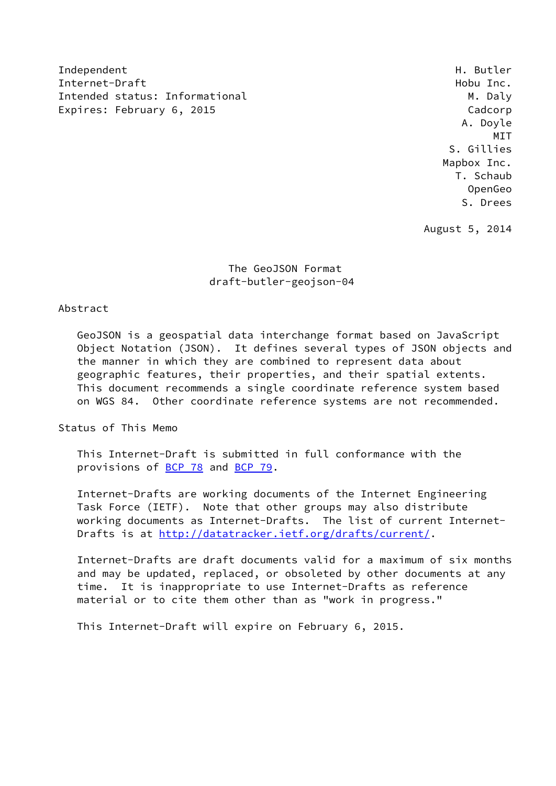Independent H. Butler Internet-Draft **Hobu Inc.** The end of the end of the end of the end of the end of the end of the end of the end of the end of the end of the end of the end of the end of the end of the end of the end of the end of the end Intended status: Informational M. Daly Expires: February 6, 2015 **Canadian Expires:** Cadcorp

 A. Doyle MIT S. Gillies Mapbox Inc. T. Schaub OpenGeo S. Drees

August 5, 2014

## The GeoJSON Format draft-butler-geojson-04

## Abstract

 GeoJSON is a geospatial data interchange format based on JavaScript Object Notation (JSON). It defines several types of JSON objects and the manner in which they are combined to represent data about geographic features, their properties, and their spatial extents. This document recommends a single coordinate reference system based on WGS 84. Other coordinate reference systems are not recommended.

Status of This Memo

 This Internet-Draft is submitted in full conformance with the provisions of [BCP 78](https://datatracker.ietf.org/doc/pdf/bcp78) and [BCP 79](https://datatracker.ietf.org/doc/pdf/bcp79).

 Internet-Drafts are working documents of the Internet Engineering Task Force (IETF). Note that other groups may also distribute working documents as Internet-Drafts. The list of current Internet- Drafts is at<http://datatracker.ietf.org/drafts/current/>.

 Internet-Drafts are draft documents valid for a maximum of six months and may be updated, replaced, or obsoleted by other documents at any time. It is inappropriate to use Internet-Drafts as reference material or to cite them other than as "work in progress."

This Internet-Draft will expire on February 6, 2015.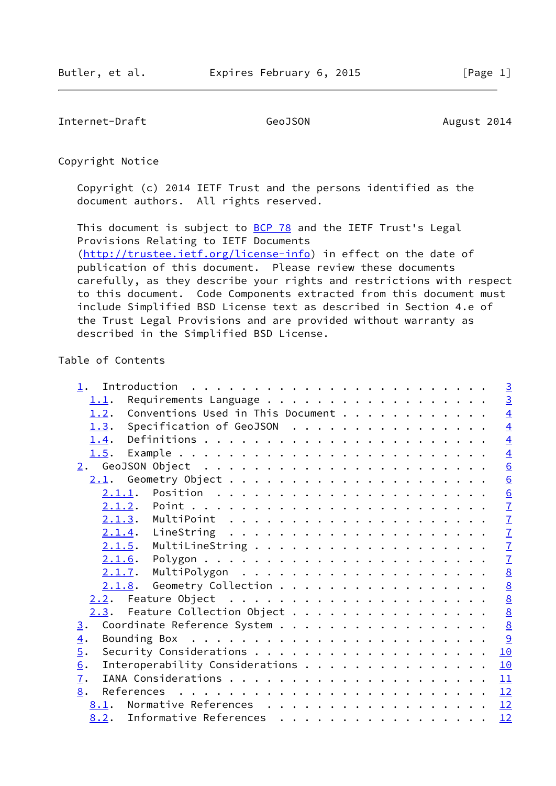Internet-Draft GeoJSON GeoGEON August 2014

Copyright Notice

 Copyright (c) 2014 IETF Trust and the persons identified as the document authors. All rights reserved.

This document is subject to **[BCP 78](https://datatracker.ietf.org/doc/pdf/bcp78)** and the IETF Trust's Legal Provisions Relating to IETF Documents [\(http://trustee.ietf.org/license-info](http://trustee.ietf.org/license-info)) in effect on the date of publication of this document. Please review these documents carefully, as they describe your rights and restrictions with respect to this document. Code Components extracted from this document must include Simplified BSD License text as described in Section 4.e of the Trust Legal Provisions and are provided without warranty as described in the Simplified BSD License.

## Table of Contents

| 1.               |                                   |  | $\overline{3}$  |
|------------------|-----------------------------------|--|-----------------|
| 1.1.             |                                   |  | $\overline{3}$  |
| 1.2.             | Conventions Used in This Document |  | $\overline{4}$  |
| 1.3.             | Specification of GeoJSON          |  | $\overline{4}$  |
| 1.4.             |                                   |  | $\overline{4}$  |
|                  |                                   |  | $\overline{4}$  |
|                  |                                   |  | $\underline{6}$ |
|                  |                                   |  | $\underline{6}$ |
|                  |                                   |  | $\underline{6}$ |
|                  |                                   |  | $\mathbf{I}$    |
|                  |                                   |  | $\mathbf{Z}$    |
|                  |                                   |  | $\overline{1}$  |
|                  | 2.1.5.                            |  | $\overline{1}$  |
|                  | 2.1.6.                            |  | $\overline{1}$  |
|                  |                                   |  | $\underline{8}$ |
|                  | $2.1.8$ . Geometry Collection     |  | 8               |
|                  |                                   |  | $\underline{8}$ |
|                  | 2.3. Feature Collection Object    |  | $\underline{8}$ |
| $\overline{3}$ . | Coordinate Reference System       |  | $\frac{8}{2}$   |
| $\overline{4}$ . |                                   |  | $\overline{9}$  |
| 5.               |                                   |  | 10              |
| 6.               | Interoperability Considerations   |  | 10              |
| $\overline{1}$ . |                                   |  |                 |
| 8.               |                                   |  | 12              |
|                  | 8.1. Normative References         |  | 12              |
|                  | 8.2. Informative References       |  | 12              |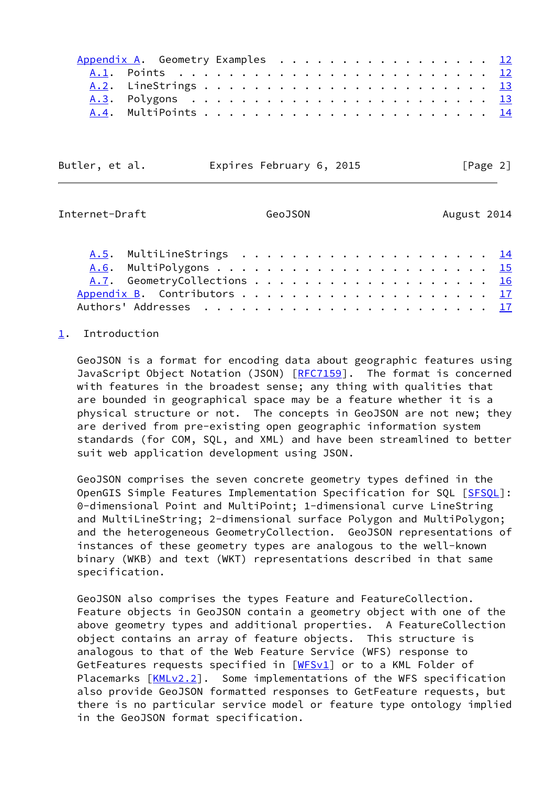|  | Appendix A. Geometry Examples 12 |  |  |  |  |  |  |  |  |  |  |  |  |
|--|----------------------------------|--|--|--|--|--|--|--|--|--|--|--|--|
|  |                                  |  |  |  |  |  |  |  |  |  |  |  |  |
|  |                                  |  |  |  |  |  |  |  |  |  |  |  |  |
|  |                                  |  |  |  |  |  |  |  |  |  |  |  |  |
|  |                                  |  |  |  |  |  |  |  |  |  |  |  |  |
|  |                                  |  |  |  |  |  |  |  |  |  |  |  |  |

| Butler, et al. | Expires February 6, 2015 |  |
|----------------|--------------------------|--|
|----------------|--------------------------|--|

 $[Page 2]$ 

GeoJSON August 2014

<span id="page-2-1"></span>

| Internet-Draft |  |
|----------------|--|
|----------------|--|

 [A.5](#page-15-1). MultiLineStrings . . . . . . . . . . . . . . . . . . . . [14](#page-14-0) [A.6](#page-16-0). MultiPolygons . . . . . . . . . . . . . . . . . . . . . . [15](#page-15-2) [A.7](#page-17-0). GeometryCollections . . . . . . . . . . . . . . . . . . [16](#page-17-1) [Appendix B](#page-18-0). Contributors . . . . . . . . . . . . . . . . . . . . [17](#page-18-1) Authors' Addresses . . . . . . . . . . . . . . . . . . . . . . . [17](#page-18-1)

## <span id="page-2-0"></span>[1](#page-2-0). Introduction

 GeoJSON is a format for encoding data about geographic features using JavaScript Object Notation (JSON) [[RFC7159](https://datatracker.ietf.org/doc/pdf/rfc7159)]. The format is concerned with features in the broadest sense; any thing with qualities that are bounded in geographical space may be a feature whether it is a physical structure or not. The concepts in GeoJSON are not new; they are derived from pre-existing open geographic information system standards (for COM, SQL, and XML) and have been streamlined to better suit web application development using JSON.

 GeoJSON comprises the seven concrete geometry types defined in the OpenGIS Simple Features Implementation Specification for SQL [\[SFSQL\]](#page-12-4): 0-dimensional Point and MultiPoint; 1-dimensional curve LineString and MultiLineString; 2-dimensional surface Polygon and MultiPolygon; and the heterogeneous GeometryCollection. GeoJSON representations of instances of these geometry types are analogous to the well-known binary (WKB) and text (WKT) representations described in that same specification.

 GeoJSON also comprises the types Feature and FeatureCollection. Feature objects in GeoJSON contain a geometry object with one of the above geometry types and additional properties. A FeatureCollection object contains an array of feature objects. This structure is analogous to that of the Web Feature Service (WFS) response to GetFeatures requests specified in [[WFSv1\]](#page-12-5) or to a KML Folder of Placemarks  $\lceil$ [KMLv2.2\]](#page-12-6). Some implementations of the WFS specification also provide GeoJSON formatted responses to GetFeature requests, but there is no particular service model or feature type ontology implied in the GeoJSON format specification.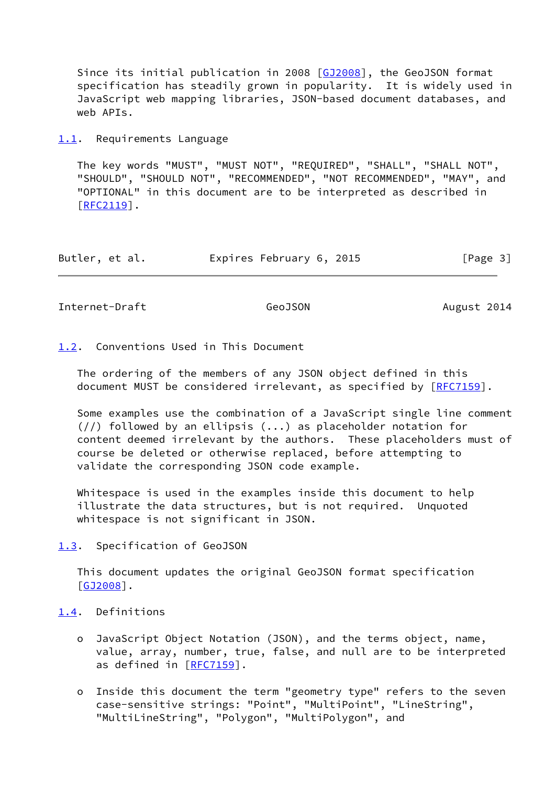Since its initial publication in 2008 [[GJ2008](#page-12-7)], the GeoJSON format specification has steadily grown in popularity. It is widely used in JavaScript web mapping libraries, JSON-based document databases, and web APIs.

<span id="page-3-0"></span>[1.1](#page-3-0). Requirements Language

 The key words "MUST", "MUST NOT", "REQUIRED", "SHALL", "SHALL NOT", "SHOULD", "SHOULD NOT", "RECOMMENDED", "NOT RECOMMENDED", "MAY", and "OPTIONAL" in this document are to be interpreted as described in  $[REC2119]$ .

| Butler, et al. |  | Expires February 6, 2015 |  |  | [Page 3] |  |
|----------------|--|--------------------------|--|--|----------|--|
|----------------|--|--------------------------|--|--|----------|--|

<span id="page-3-2"></span>Internet-Draft GeoJSON GeoDSON August 2014

<span id="page-3-1"></span>[1.2](#page-3-1). Conventions Used in This Document

 The ordering of the members of any JSON object defined in this document MUST be considered irrelevant, as specified by [\[RFC7159](https://datatracker.ietf.org/doc/pdf/rfc7159)].

 Some examples use the combination of a JavaScript single line comment  $\left(\frac{1}{1}\right)$  followed by an ellipsis  $\left(\ldots\right)$  as placeholder notation for content deemed irrelevant by the authors. These placeholders must of course be deleted or otherwise replaced, before attempting to validate the corresponding JSON code example.

 Whitespace is used in the examples inside this document to help illustrate the data structures, but is not required. Unquoted whitespace is not significant in JSON.

<span id="page-3-3"></span>[1.3](#page-3-3). Specification of GeoJSON

 This document updates the original GeoJSON format specification [\[GJ2008](#page-12-7)].

# <span id="page-3-4"></span>[1.4](#page-3-4). Definitions

- o JavaScript Object Notation (JSON), and the terms object, name, value, array, number, true, false, and null are to be interpreted as defined in [\[RFC7159](https://datatracker.ietf.org/doc/pdf/rfc7159)].
- o Inside this document the term "geometry type" refers to the seven case-sensitive strings: "Point", "MultiPoint", "LineString", "MultiLineString", "Polygon", "MultiPolygon", and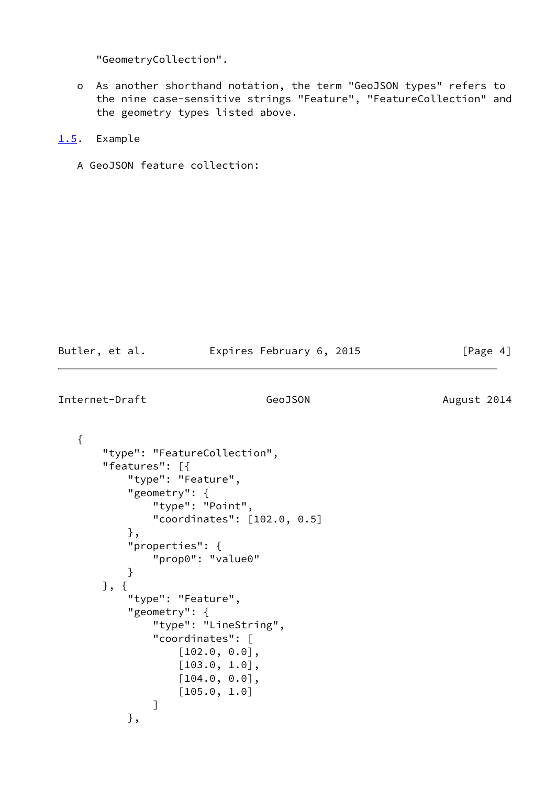"GeometryCollection".

 o As another shorthand notation, the term "GeoJSON types" refers to the nine case-sensitive strings "Feature", "FeatureCollection" and the geometry types listed above.

# <span id="page-4-0"></span>[1.5](#page-4-0). Example

A GeoJSON feature collection:

| Butler, et al. | Expires February 6, 2015 | [Page 4] |
|----------------|--------------------------|----------|
|                |                          |          |

```
Internet-Draft GeoJSON GeoGEON August 2014
```

```
 {
        "type": "FeatureCollection",
        "features": [{
            "type": "Feature",
            "geometry": {
                "type": "Point",
                "coordinates": [102.0, 0.5]
            },
            "properties": {
                "prop0": "value0"
            }
        }, {
            "type": "Feature",
            "geometry": {
                "type": "LineString",
                "coordinates": [
                     [102.0, 0.0],
                     [103.0, 1.0],
                     [104.0, 0.0],
                     [105.0, 1.0]
 ]
            },
```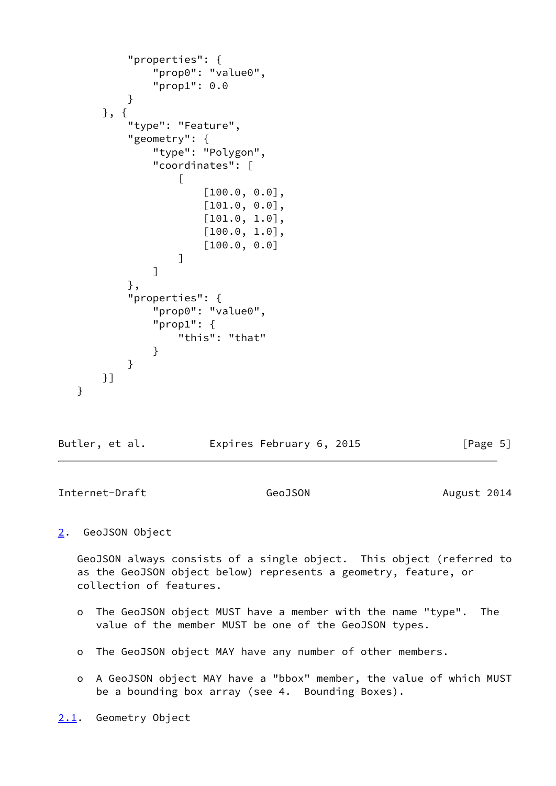```
 "properties": {
             "prop0": "value0",
             "prop1": 0.0
 }
      }, {
          "type": "Feature",
          "geometry": {
             "type": "Polygon",
             "coordinates": [
 [
                     [100.0, 0.0],
                    [101.0, 0.0],
                    [101.0, 1.0],
                     [100.0, 1.0],
                     [100.0, 0.0]
 ]
 ]
          },
          "properties": {
             "prop0": "value0",
             "prop1": {
                 "this": "that"
 }
 }
      }]
   }
```

| Butler, et al. | Expires February 6, 2015 | [Page 5] |
|----------------|--------------------------|----------|
|----------------|--------------------------|----------|

<span id="page-5-1"></span>Internet-Draft GeoJSON GeoGEON August 2014

## <span id="page-5-0"></span>[2](#page-5-0). GeoJSON Object

 GeoJSON always consists of a single object. This object (referred to as the GeoJSON object below) represents a geometry, feature, or collection of features.

- o The GeoJSON object MUST have a member with the name "type". The value of the member MUST be one of the GeoJSON types.
- o The GeoJSON object MAY have any number of other members.
- o A GeoJSON object MAY have a "bbox" member, the value of which MUST be a bounding box array (see 4. Bounding Boxes).

<span id="page-5-2"></span>[2.1](#page-5-2). Geometry Object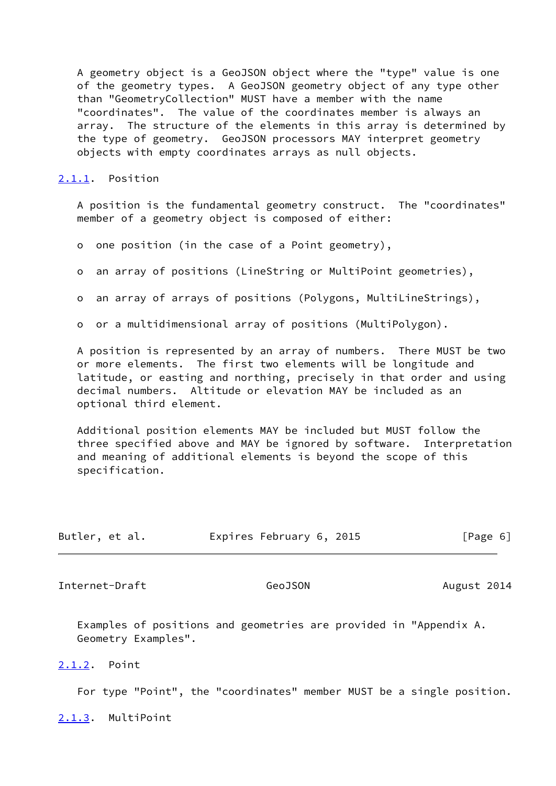A geometry object is a GeoJSON object where the "type" value is one of the geometry types. A GeoJSON geometry object of any type other than "GeometryCollection" MUST have a member with the name "coordinates". The value of the coordinates member is always an array. The structure of the elements in this array is determined by the type of geometry. GeoJSON processors MAY interpret geometry objects with empty coordinates arrays as null objects.

## <span id="page-6-0"></span>[2.1.1](#page-6-0). Position

 A position is the fundamental geometry construct. The "coordinates" member of a geometry object is composed of either:

o one position (in the case of a Point geometry),

o an array of positions (LineString or MultiPoint geometries),

o an array of arrays of positions (Polygons, MultiLineStrings),

o or a multidimensional array of positions (MultiPolygon).

 A position is represented by an array of numbers. There MUST be two or more elements. The first two elements will be longitude and latitude, or easting and northing, precisely in that order and using decimal numbers. Altitude or elevation MAY be included as an optional third element.

 Additional position elements MAY be included but MUST follow the three specified above and MAY be ignored by software. Interpretation and meaning of additional elements is beyond the scope of this specification.

| Butler, et al. | Expires February 6, 2015 |  | [Page 6] |
|----------------|--------------------------|--|----------|
|----------------|--------------------------|--|----------|

<span id="page-6-2"></span>Internet-Draft GeoJSON GeoGEON August 2014

 Examples of positions and geometries are provided in "Appendix A. Geometry Examples".

<span id="page-6-1"></span>[2.1.2](#page-6-1). Point

For type "Point", the "coordinates" member MUST be a single position.

<span id="page-6-3"></span>[2.1.3](#page-6-3). MultiPoint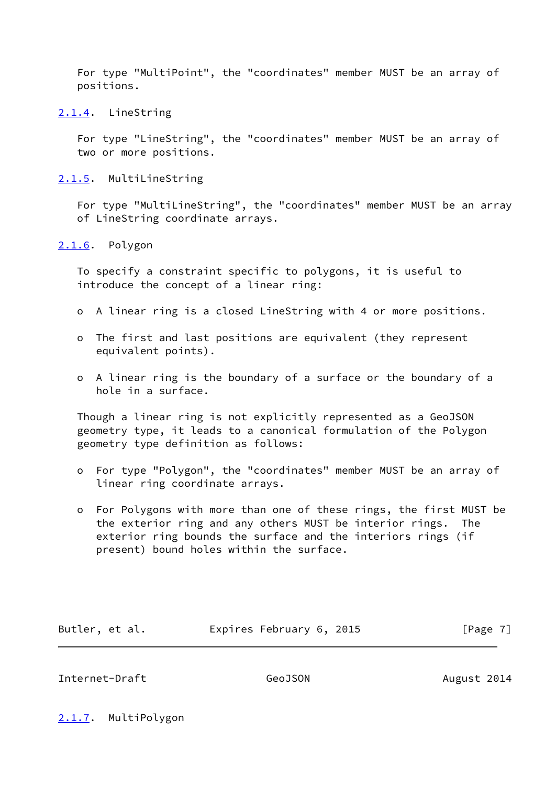For type "MultiPoint", the "coordinates" member MUST be an array of positions.

<span id="page-7-0"></span>[2.1.4](#page-7-0). LineString

 For type "LineString", the "coordinates" member MUST be an array of two or more positions.

<span id="page-7-1"></span>[2.1.5](#page-7-1). MultiLineString

 For type "MultiLineString", the "coordinates" member MUST be an array of LineString coordinate arrays.

<span id="page-7-2"></span>[2.1.6](#page-7-2). Polygon

 To specify a constraint specific to polygons, it is useful to introduce the concept of a linear ring:

- o A linear ring is a closed LineString with 4 or more positions.
- o The first and last positions are equivalent (they represent equivalent points).
- o A linear ring is the boundary of a surface or the boundary of a hole in a surface.

 Though a linear ring is not explicitly represented as a GeoJSON geometry type, it leads to a canonical formulation of the Polygon geometry type definition as follows:

- o For type "Polygon", the "coordinates" member MUST be an array of linear ring coordinate arrays.
- o For Polygons with more than one of these rings, the first MUST be the exterior ring and any others MUST be interior rings. The exterior ring bounds the surface and the interiors rings (if present) bound holes within the surface.

| Butler, et al. | Expires February 6, 2015 | [Page 7] |
|----------------|--------------------------|----------|
|                |                          |          |

<span id="page-7-4"></span>Internet-Draft GeoJSON GeoGEON August 2014

<span id="page-7-3"></span>[2.1.7](#page-7-3). MultiPolygon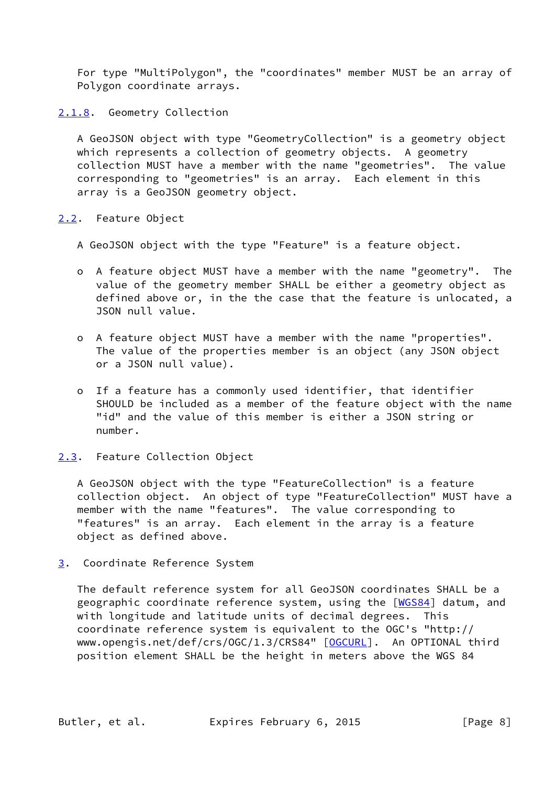For type "MultiPolygon", the "coordinates" member MUST be an array of Polygon coordinate arrays.

<span id="page-8-0"></span>[2.1.8](#page-8-0). Geometry Collection

 A GeoJSON object with type "GeometryCollection" is a geometry object which represents a collection of geometry objects. A geometry collection MUST have a member with the name "geometries". The value corresponding to "geometries" is an array. Each element in this array is a GeoJSON geometry object.

<span id="page-8-1"></span>[2.2](#page-8-1). Feature Object

A GeoJSON object with the type "Feature" is a feature object.

- o A feature object MUST have a member with the name "geometry". The value of the geometry member SHALL be either a geometry object as defined above or, in the the case that the feature is unlocated, a JSON null value.
- o A feature object MUST have a member with the name "properties". The value of the properties member is an object (any JSON object or a JSON null value).
- o If a feature has a commonly used identifier, that identifier SHOULD be included as a member of the feature object with the name "id" and the value of this member is either a JSON string or number.

#### <span id="page-8-2"></span>[2.3](#page-8-2). Feature Collection Object

 A GeoJSON object with the type "FeatureCollection" is a feature collection object. An object of type "FeatureCollection" MUST have a member with the name "features". The value corresponding to "features" is an array. Each element in the array is a feature object as defined above.

<span id="page-8-3"></span>[3](#page-8-3). Coordinate Reference System

 The default reference system for all GeoJSON coordinates SHALL be a geographic coordinate reference system, using the [[WGS84\]](#page-13-5) datum, and with longitude and latitude units of decimal degrees. This coordinate reference system is equivalent to the OGC's "http:// www.opengis.net/def/crs/OGC/1.3/CRS84" [\[OGCURL](#page-12-8)]. An OPTIONAL third position element SHALL be the height in meters above the WGS 84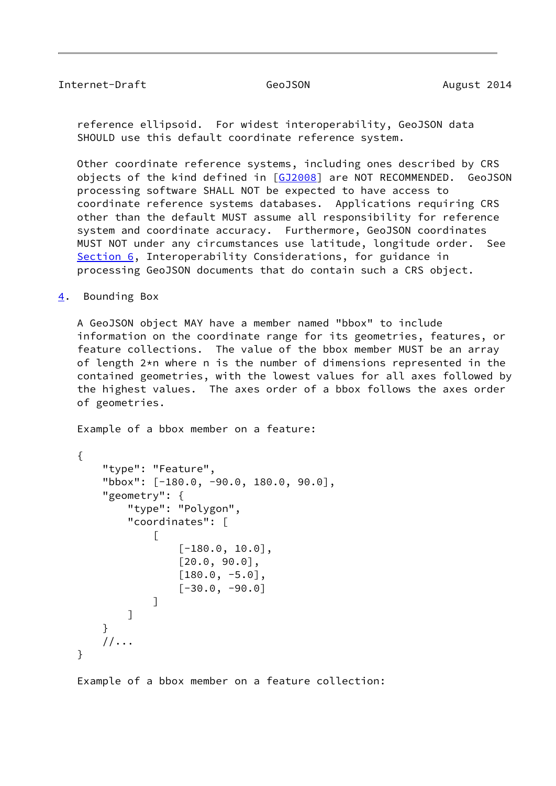## <span id="page-9-1"></span>Internet-Draft GeoJSON GeoGEON August 2014

 reference ellipsoid. For widest interoperability, GeoJSON data SHOULD use this default coordinate reference system.

 Other coordinate reference systems, including ones described by CRS objects of the kind defined in [\[GJ2008](#page-12-7)] are NOT RECOMMENDED. GeoJSON processing software SHALL NOT be expected to have access to coordinate reference systems databases. Applications requiring CRS other than the default MUST assume all responsibility for reference system and coordinate accuracy. Furthermore, GeoJSON coordinates MUST NOT under any circumstances use latitude, longitude order. See [Section 6](#page-10-2), Interoperability Considerations, for guidance in processing GeoJSON documents that do contain such a CRS object.

<span id="page-9-0"></span>[4](#page-9-0). Bounding Box

 A GeoJSON object MAY have a member named "bbox" to include information on the coordinate range for its geometries, features, or feature collections. The value of the bbox member MUST be an array of length 2\*n where n is the number of dimensions represented in the contained geometries, with the lowest values for all axes followed by the highest values. The axes order of a bbox follows the axes order of geometries.

Example of a bbox member on a feature:

```
 {
       "type": "Feature",
       "bbox": [-180.0, -90.0, 180.0, 90.0],
       "geometry": {
           "type": "Polygon",
           "coordinates": [
 [
                  [-180.0, 10.0],
                  [20.0, 90.0],
                  [180.0, -5.0],
                 [-30.0, -90.0] ]
 ]
       }
      //... }
```
Example of a bbox member on a feature collection: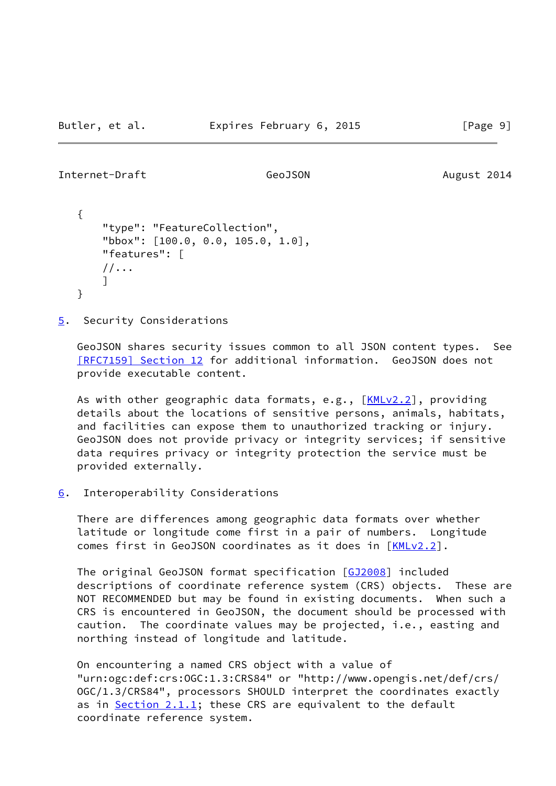```
Internet-Draft GeoJSON GeoGEON August 2014
```

```
 {
     "type": "FeatureCollection",
     "bbox": [100.0, 0.0, 105.0, 1.0],
     "features": [
    //\ldots ]
 }
```
<span id="page-10-0"></span>[5](#page-10-0). Security Considerations

 GeoJSON shares security issues common to all JSON content types. See [\[RFC7159\] Section](https://datatracker.ietf.org/doc/pdf/rfc7159#section-12) 12 for additional information. GeoJSON does not provide executable content.

As with other geographic data formats, e.g., [\[KMLv2.2](#page-12-6)], providing details about the locations of sensitive persons, animals, habitats, and facilities can expose them to unauthorized tracking or injury. GeoJSON does not provide privacy or integrity services; if sensitive data requires privacy or integrity protection the service must be provided externally.

<span id="page-10-2"></span>[6](#page-10-2). Interoperability Considerations

 There are differences among geographic data formats over whether latitude or longitude come first in a pair of numbers. Longitude comes first in GeoJSON coordinates as it does in [\[KMLv2.2](#page-12-6)].

 The original GeoJSON format specification [[GJ2008](#page-12-7)] included descriptions of coordinate reference system (CRS) objects. These are NOT RECOMMENDED but may be found in existing documents. When such a CRS is encountered in GeoJSON, the document should be processed with caution. The coordinate values may be projected, i.e., easting and northing instead of longitude and latitude.

 On encountering a named CRS object with a value of "urn:ogc:def:crs:OGC:1.3:CRS84" or "http://www.opengis.net/def/crs/ OGC/1.3/CRS84", processors SHOULD interpret the coordinates exactly as in [Section 2.1.1;](#page-6-0) these CRS are equivalent to the default coordinate reference system.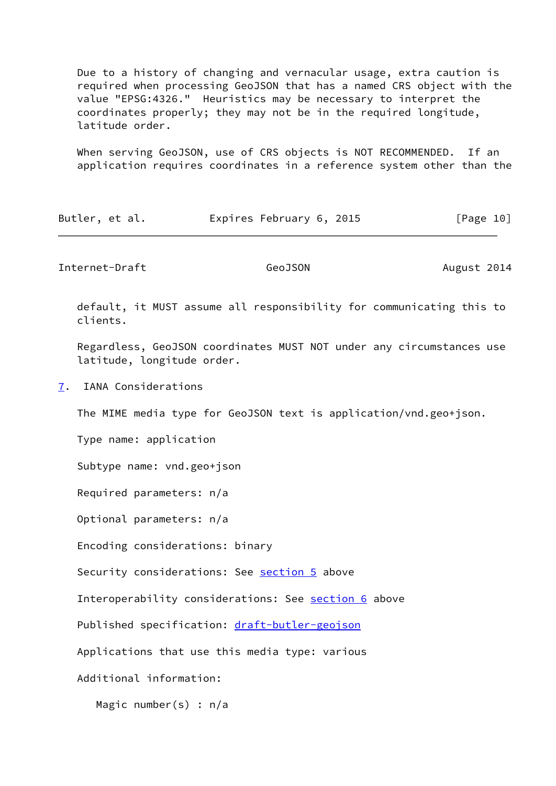Due to a history of changing and vernacular usage, extra caution is required when processing GeoJSON that has a named CRS object with the value "EPSG:4326." Heuristics may be necessary to interpret the coordinates properly; they may not be in the required longitude, latitude order.

 When serving GeoJSON, use of CRS objects is NOT RECOMMENDED. If an application requires coordinates in a reference system other than the

| Expires February 6, 2015<br>Butler, et al. | [Page 10] |
|--------------------------------------------|-----------|
|--------------------------------------------|-----------|

<span id="page-11-1"></span>Internet-Draft GeoJSON GeoGEON August 2014

 default, it MUST assume all responsibility for communicating this to clients.

 Regardless, GeoJSON coordinates MUST NOT under any circumstances use latitude, longitude order.

<span id="page-11-0"></span>[7](#page-11-0). IANA Considerations

The MIME media type for GeoJSON text is application/vnd.geo+json.

Type name: application

Subtype name: vnd.geo+json

Required parameters: n/a

Optional parameters: n/a

Encoding considerations: binary

Security considerations: See [section 5](#page-10-0) above

Interoperability considerations: See [section 6](#page-10-2) above

Published specification: [draft-butler-geojson](https://datatracker.ietf.org/doc/pdf/draft-butler-geojson)

Applications that use this media type: various

Additional information:

Magic number(s) : n/a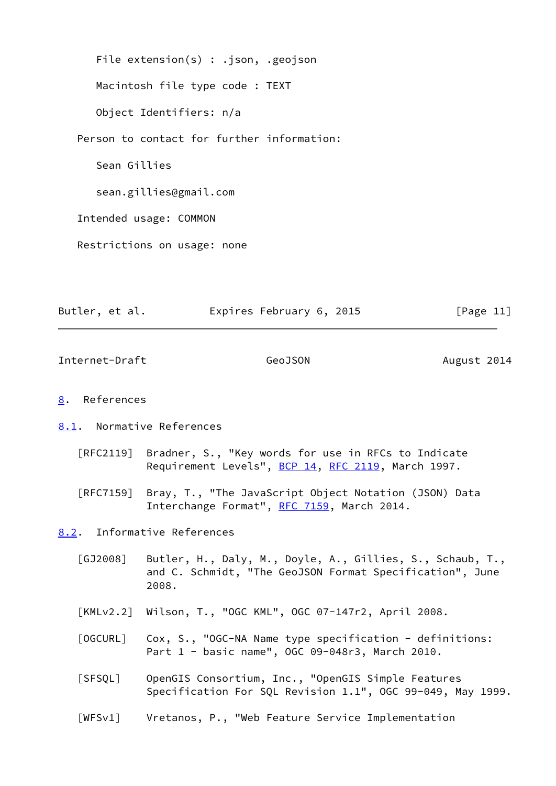File extension(s) : .json, .geojson Macintosh file type code : TEXT Object Identifiers: n/a Person to contact for further information: Sean Gillies sean.gillies@gmail.com Intended usage: COMMON Restrictions on usage: none

Butler, et al. Expires February 6, 2015 [Page 11]

<span id="page-12-1"></span>Internet-Draft GeoJSON GeoGEON August 2014

#### <span id="page-12-0"></span>[8](#page-12-0). References

<span id="page-12-2"></span>[8.1](#page-12-2). Normative References

- [RFC2119] Bradner, S., "Key words for use in RFCs to Indicate Requirement Levels", [BCP 14](https://datatracker.ietf.org/doc/pdf/bcp14), [RFC 2119](https://datatracker.ietf.org/doc/pdf/rfc2119), March 1997.
- [RFC7159] Bray, T., "The JavaScript Object Notation (JSON) Data Interchange Format", [RFC 7159](https://datatracker.ietf.org/doc/pdf/rfc7159), March 2014.

<span id="page-12-3"></span>[8.2](#page-12-3). Informative References

- <span id="page-12-7"></span> [GJ2008] Butler, H., Daly, M., Doyle, A., Gillies, S., Schaub, T., and C. Schmidt, "The GeoJSON Format Specification", June 2008.
- <span id="page-12-6"></span>[KMLv2.2] Wilson, T., "OGC KML", OGC 07-147r2, April 2008.
- <span id="page-12-8"></span>[OGCURL] Cox, S., "OGC-NA Name type specification - definitions: Part 1 - basic name", OGC 09-048r3, March 2010.
- <span id="page-12-4"></span> [SFSQL] OpenGIS Consortium, Inc., "OpenGIS Simple Features Specification For SQL Revision 1.1", OGC 99-049, May 1999.
- <span id="page-12-5"></span>[WFSv1] Vretanos, P., "Web Feature Service Implementation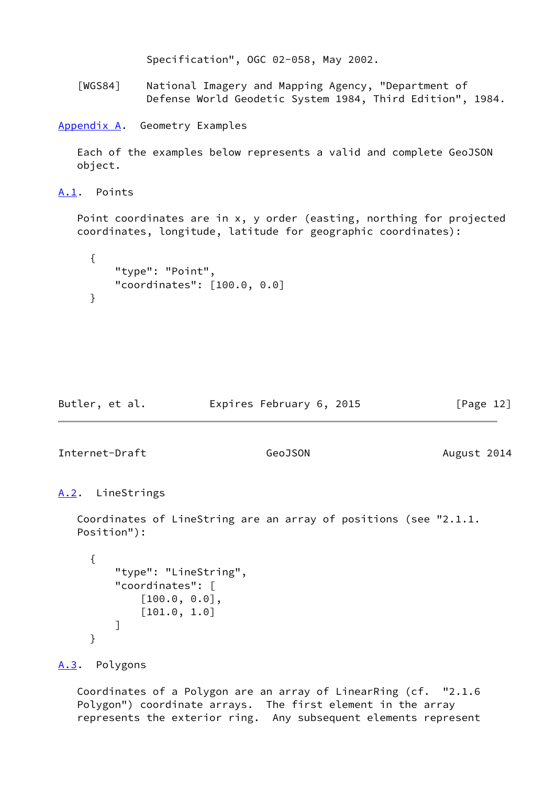```
 Specification", OGC 02-058, May 2002.
```
<span id="page-13-5"></span> [WGS84] National Imagery and Mapping Agency, "Department of Defense World Geodetic System 1984, Third Edition", 1984.

<span id="page-13-0"></span>[Appendix A.](#page-13-0) Geometry Examples

 Each of the examples below represents a valid and complete GeoJSON object.

<span id="page-13-1"></span>[A.1](#page-13-1). Points

 Point coordinates are in x, y order (easting, northing for projected coordinates, longitude, latitude for geographic coordinates):

```
 {
     "type": "Point",
     "coordinates": [100.0, 0.0]
 }
```

| Butler, et al. | Expires February 6, 2015 | [Page 12] |
|----------------|--------------------------|-----------|
|                |                          |           |

<span id="page-13-3"></span>Internet-Draft GeoJSON GeoGEON August 2014

```
A.2. LineStrings
```
 Coordinates of LineString are an array of positions (see "2.1.1. Position"):

```
 {
      "type": "LineString",
      "coordinates": [
           [100.0, 0.0],
           [101.0, 1.0]
     \mathbf{I} }
```
<span id="page-13-4"></span>[A.3](#page-13-4). Polygons

 Coordinates of a Polygon are an array of LinearRing (cf. "2.1.6 Polygon") coordinate arrays. The first element in the array represents the exterior ring. Any subsequent elements represent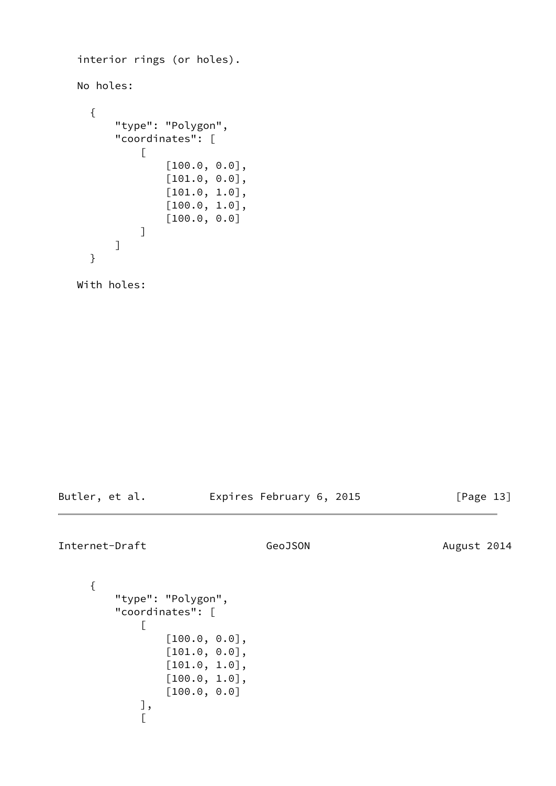```
 interior rings (or holes).
    No holes:
       {
            "type": "Polygon",
            "coordinates": [
\begin{bmatrix} 1 & 1 & 1 & 1 \ 1 & 1 & 1 & 1 \end{bmatrix} [100.0, 0.0],
                       [101.0, 0.0],
                       [101.0, 1.0],
                       [100.0, 1.0],
                       [100.0, 0.0]
 ]
            ]
       }
```
With holes:

Butler, et al. **Expires February 6, 2015** [Page 13]

<span id="page-14-0"></span>Internet-Draft GeoJSON GeoGEON August 2014

{

```
 "type": "Polygon",
                "coordinates": [
\begin{bmatrix} 1 & 1 & 1 & 1 \ 1 & 1 & 1 & 1 \end{bmatrix} [100.0, 0.0],
                               [101.0, 0.0],
                               [101.0, 1.0],
                               [100.0, 1.0],
                               [100.0, 0.0]
                       ],
\begin{bmatrix} 1 & 1 & 1 & 1 \ 1 & 1 & 1 & 1 \end{bmatrix}
```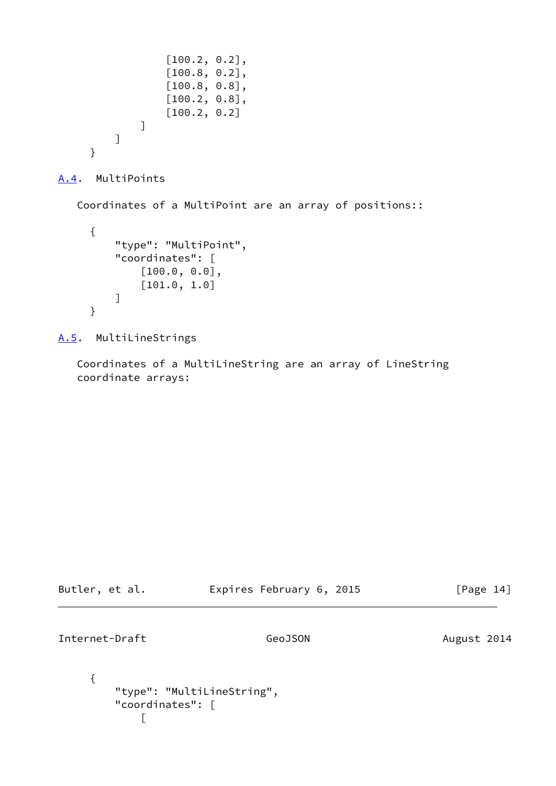```
 [100.2, 0.2],
                 [100.8, 0.2],
                  [100.8, 0.8],
                 [100.2, 0.8],
                 [100.2, 0.2]
 ]
         ]
     }
```

```
A.4. MultiPoints
```
Coordinates of a MultiPoint are an array of positions::

```
 {
     "type": "MultiPoint",
     "coordinates": [
          [100.0, 0.0],
          [101.0, 1.0]
     ]
 }
```
<span id="page-15-1"></span>[A.5](#page-15-1). MultiLineStrings

 $\begin{bmatrix} 1 & 1 & 1 & 1 \ 1 & 1 & 1 & 1 \end{bmatrix}$ 

 Coordinates of a MultiLineString are an array of LineString coordinate arrays:

<span id="page-15-2"></span>

| Butler, et al.   | Expires February 6, 2015   | [Page 14]   |
|------------------|----------------------------|-------------|
| Internet-Draft   | GeoJSON                    | August 2014 |
| "coordinates": [ | "type": "MultiLineString", |             |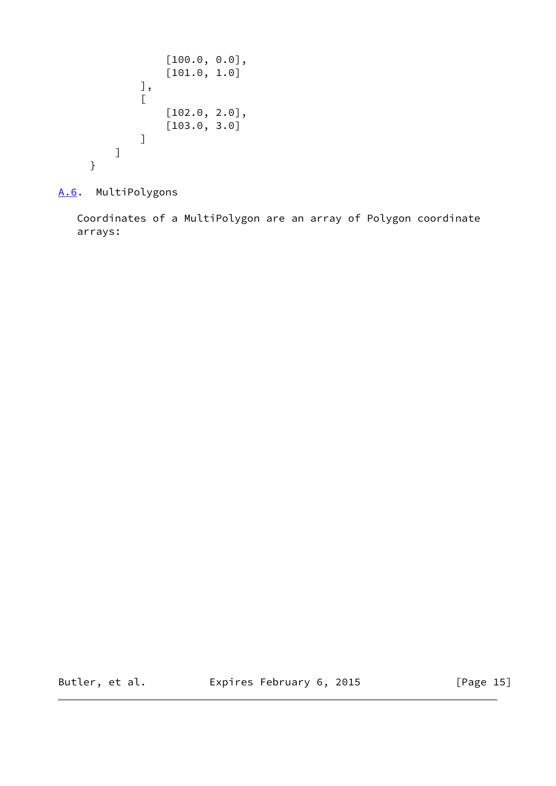```
 [100.0, 0.0],
                        [101.0, 1.0] ],
\begin{bmatrix} 1 & 1 & 1 & 1 \ 1 & 1 & 1 & 1 \end{bmatrix} [102.0, 2.0],
                        [103.0, 3.0] ]
             ]
       }
```
<span id="page-16-0"></span>[A.6](#page-16-0). MultiPolygons

 Coordinates of a MultiPolygon are an array of Polygon coordinate arrays:

Butler, et al. **Expires February 6, 2015** [Page 15]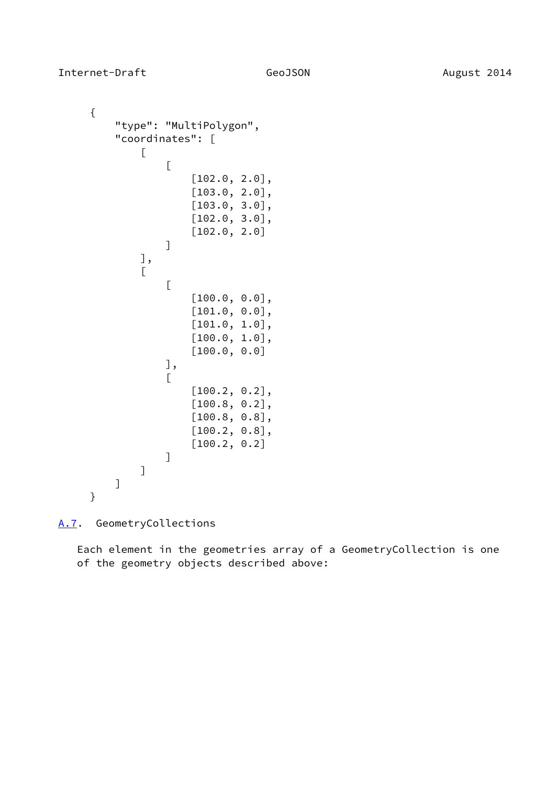{

```
 "type": "MultiPolygon",
          "coordinates": [
\begin{bmatrix} 1 & 1 & 1 & 1 \ 1 & 1 & 1 & 1 \end{bmatrix} [
                        [102.0, 2.0],
                        [103.0, 2.0],
                        [103.0, 3.0],
                        [102.0, 3.0],
                        [102.0, 2.0]
 ]
               ],
\begin{bmatrix} 1 & 1 & 1 & 1 \ 1 & 1 & 1 & 1 \end{bmatrix} [
                        [100.0, 0.0],
                        [101.0, 0.0],
                        [101.0, 1.0],
                        [100.0, 1.0],
                        [100.0, 0.0]
                   ],
 [
                        [100.2, 0.2],
                        [100.8, 0.2],
                        [100.8, 0.8],
                        [100.2, 0.8],
                        [100.2, 0.2]
 ]
 ]
          ]
      }
```
<span id="page-17-0"></span>[A.7](#page-17-0). GeometryCollections

 Each element in the geometries array of a GeometryCollection is one of the geometry objects described above: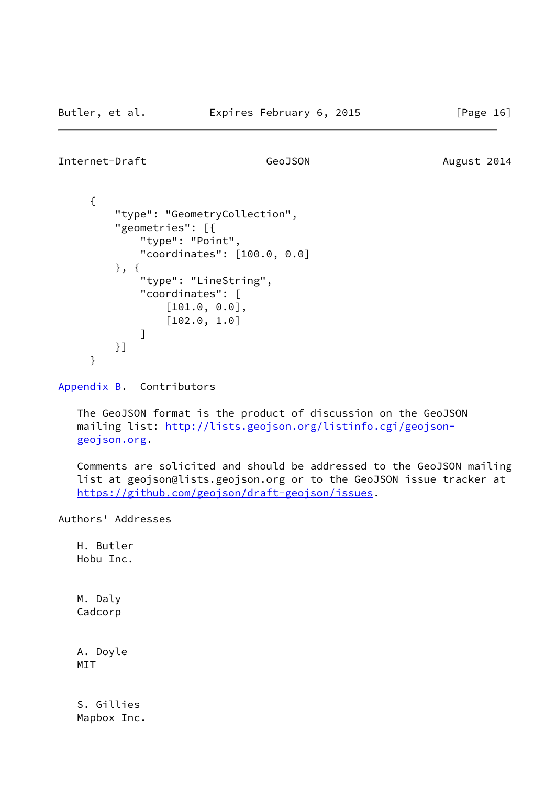```
Internet-Draft GeoJSON GeoDSON August 2014
```

```
 {
          "type": "GeometryCollection",
          "geometries": [{
              "type": "Point",
              "coordinates": [100.0, 0.0]
          }, {
              "type": "LineString",
              "coordinates": [
                  [101.0, 0.0],
                  [102.0, 1.0]
 ]
          }]
      }
```
<span id="page-18-0"></span>[Appendix B.](#page-18-0) Contributors

 The GeoJSON format is the product of discussion on the GeoJSON mailing list: [http://lists.geojson.org/listinfo.cgi/geojson](http://lists.geojson.org/listinfo.cgi/geojson-geojson.org) [geojson.org](http://lists.geojson.org/listinfo.cgi/geojson-geojson.org).

 Comments are solicited and should be addressed to the GeoJSON mailing list at geojson@lists.geojson.org or to the GeoJSON issue tracker at <https://github.com/geojson/draft-geojson/issues>.

Authors' Addresses

 H. Butler Hobu Inc.

 M. Daly Cadcorp

 A. Doyle MIT

 S. Gillies Mapbox Inc.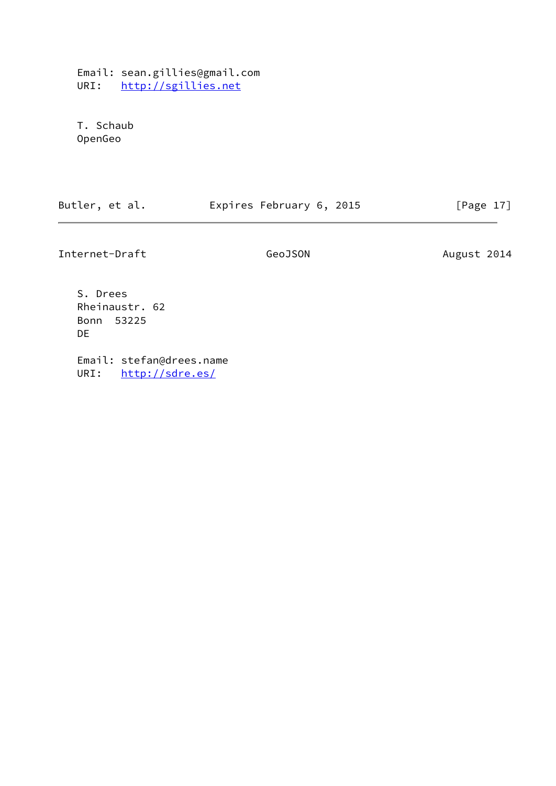Email: sean.gillies@gmail.com URI: <http://sgillies.net>

 T. Schaub OpenGeo

|  | Butler, et al. | Expires February 6, 2015 | [Page 17] |
|--|----------------|--------------------------|-----------|
|--|----------------|--------------------------|-----------|

Internet-Draft GeoJSON GeoDSON August 2014

 S. Drees Rheinaustr. 62 Bonn 53225 DE

 Email: stefan@drees.name URI: <http://sdre.es/>